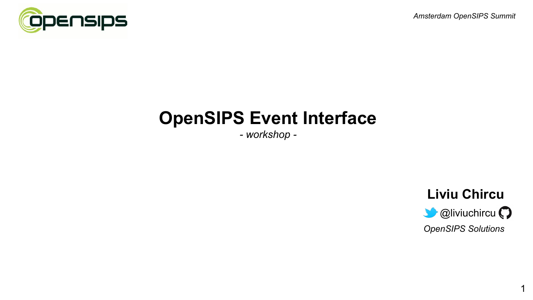



# **OpenSIPS Event Interface**

*- workshop -*



1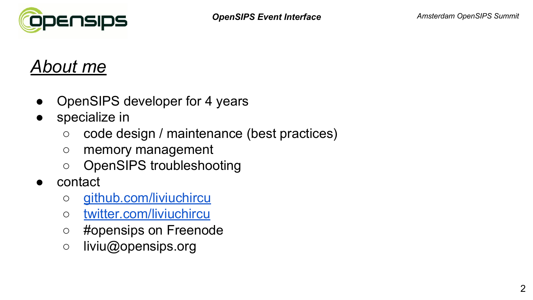# *About me*

- OpenSIPS developer for 4 years
- specialize in
	- code design / maintenance (best practices)
	- memory management
	- OpenSIPS troubleshooting
- contact
	- o [github.com/liviuchircu](https://github.com/liviuchircu)
	- [twitter.com/liviuchircu](https://www.twitter.com/liviuchircu)
	- #opensips on Freenode
	- liviu@opensips.org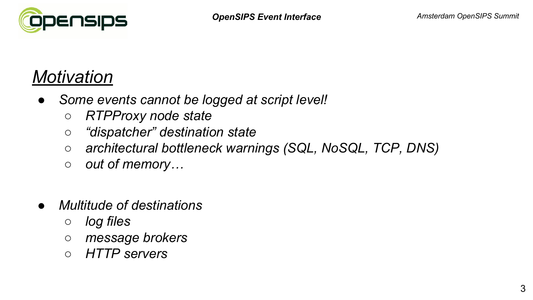

# *Motivation*

- *● Some events cannot be logged at script level!*
	- *○ RTPProxy node state*
	- *○ "dispatcher" destination state*
	- *○ architectural bottleneck warnings (SQL, NoSQL, TCP, DNS)*
	- *○ out of memory…*
- *● Multitude of destinations*
	- *○ log files*
	- *○ message brokers*
	- *○ HTTP servers*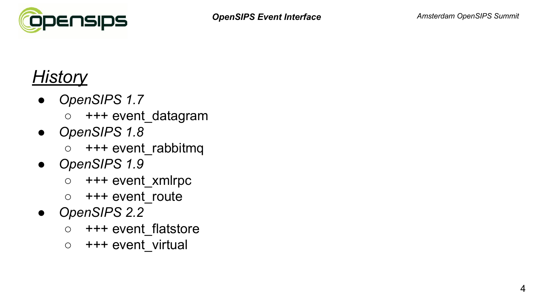

# *History*

- *● OpenSIPS 1.7*
	- +++ event\_datagram
- *● OpenSIPS 1.8*
	- $\circ$  +++ event rabbitmq
- *● OpenSIPS 1.9*
	- $\circ$  +++ event xmlrpc
	- +++ event\_route
- *● OpenSIPS 2.2*
	- +++ event flatstore
	- +++ event virtual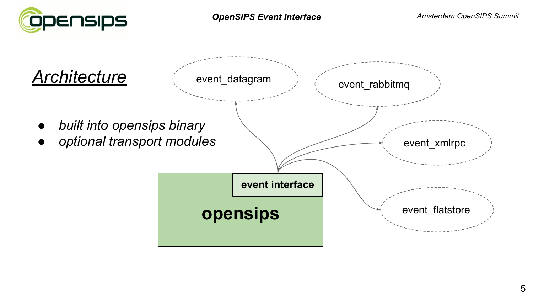

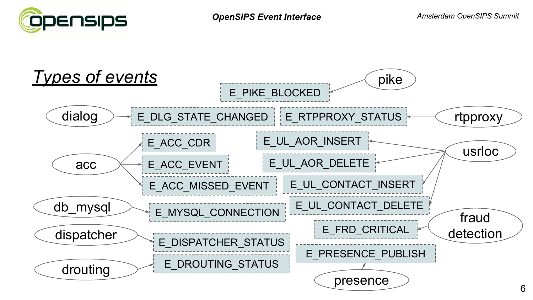

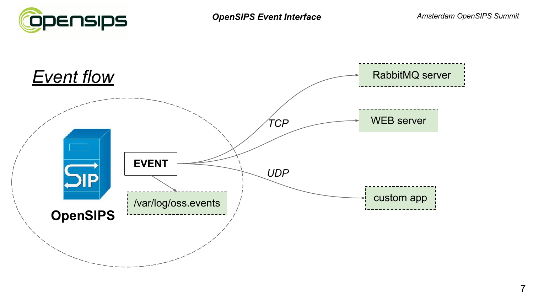



7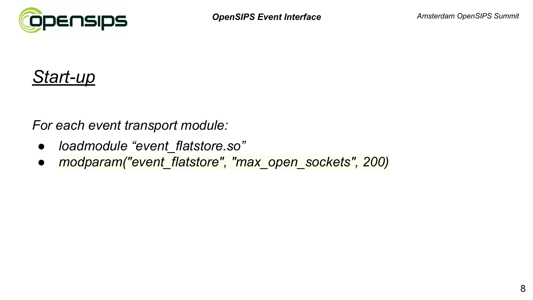



*For each event transport module:*

- *● loadmodule "event\_flatstore.so"*
- *● modparam("event\_flatstore", "max\_open\_sockets", 200)*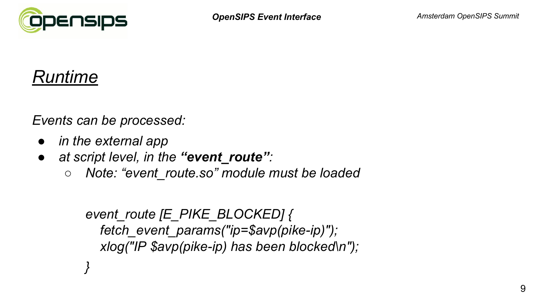

### *Runtime*

*Events can be processed:*

- *● in the external app*
- *● at script level, in the "event\_route":*
	- *○ Note: "event\_route.so" module must be loaded*

```
event_route [E_PIKE_BLOCKED] {
fetch_event_params("ip=$avp(pike-ip)");
xlog("IP $avp(pike-ip) has been blocked\n");
```
*}*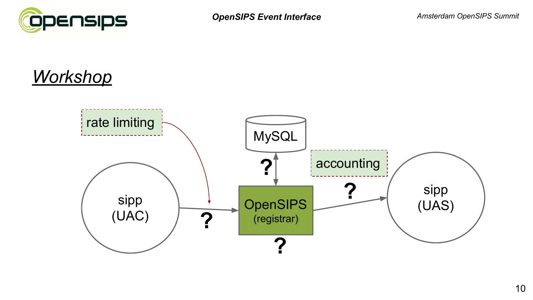

# *Workshop*

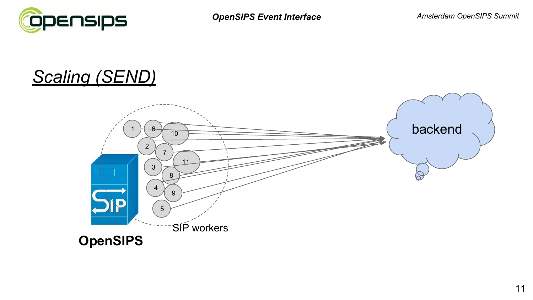

# *Scaling (SEND)*

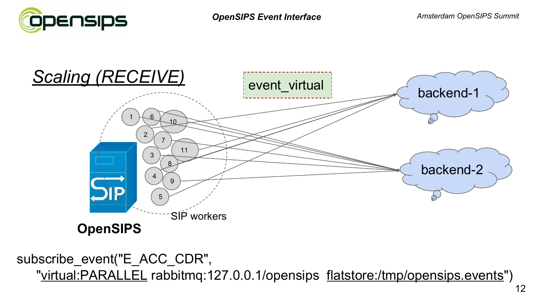



 subscribe\_event("E\_ACC\_CDR", "virtual:PARALLEL rabbitmq:127.0.0.1/opensips flatstore:/tmp/opensips.events")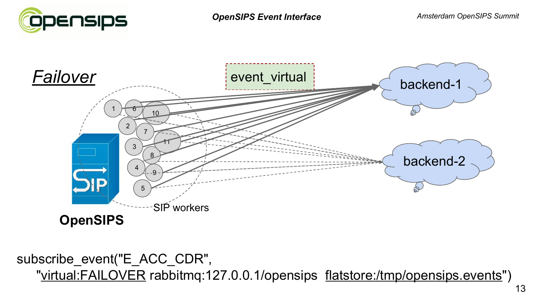



 subscribe\_event("E\_ACC\_CDR", "virtual:FAILOVER rabbitmq:127.0.0.1/opensips flatstore:/tmp/opensips.events")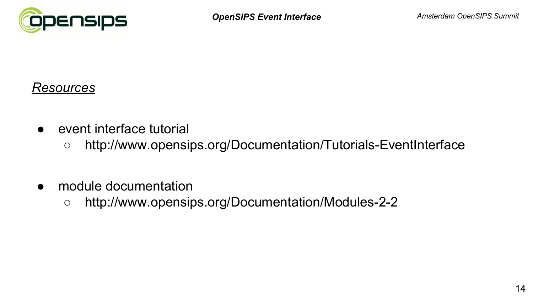

#### *Resources*

- event interface tutorial
	- http://www.opensips.org/Documentation/Tutorials-EventInterface
- module documentation
	- http://www.opensips.org/Documentation/Modules-2-2